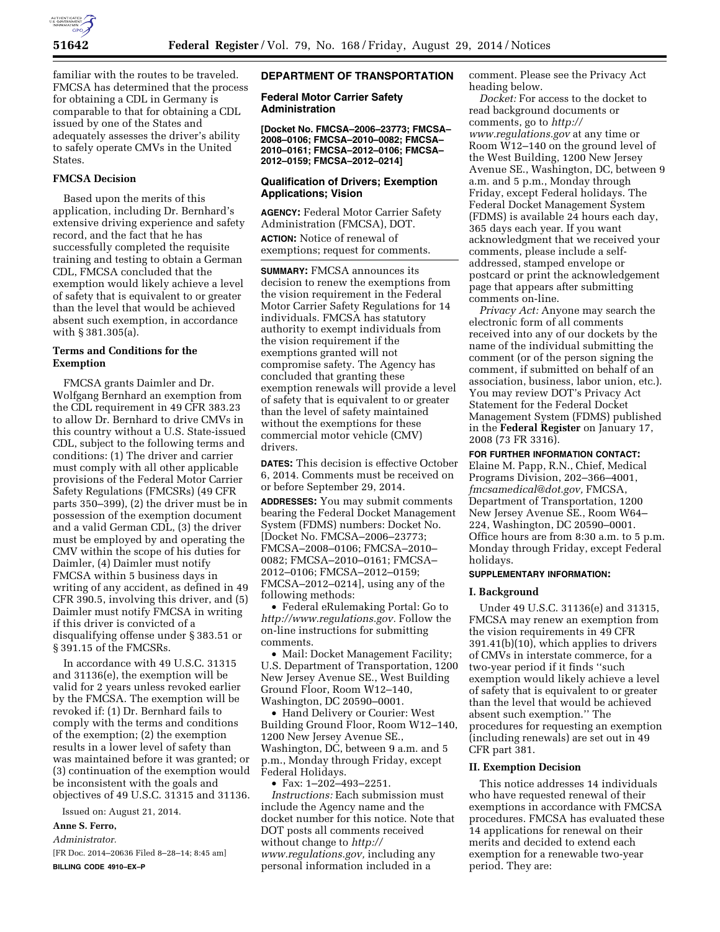

familiar with the routes to be traveled. FMCSA has determined that the process for obtaining a CDL in Germany is comparable to that for obtaining a CDL issued by one of the States and adequately assesses the driver's ability to safely operate CMVs in the United **States** 

### **FMCSA Decision**

Based upon the merits of this application, including Dr. Bernhard's extensive driving experience and safety record, and the fact that he has successfully completed the requisite training and testing to obtain a German CDL, FMCSA concluded that the exemption would likely achieve a level of safety that is equivalent to or greater than the level that would be achieved absent such exemption, in accordance with § 381.305(a).

## **Terms and Conditions for the Exemption**

FMCSA grants Daimler and Dr. Wolfgang Bernhard an exemption from the CDL requirement in 49 CFR 383.23 to allow Dr. Bernhard to drive CMVs in this country without a U.S. State-issued CDL, subject to the following terms and conditions: (1) The driver and carrier must comply with all other applicable provisions of the Federal Motor Carrier Safety Regulations (FMCSRs) (49 CFR parts 350–399), (2) the driver must be in possession of the exemption document and a valid German CDL, (3) the driver must be employed by and operating the CMV within the scope of his duties for Daimler, (4) Daimler must notify FMCSA within 5 business days in writing of any accident, as defined in 49 CFR 390.5, involving this driver, and (5) Daimler must notify FMCSA in writing if this driver is convicted of a disqualifying offense under § 383.51 or § 391.15 of the FMCSRs.

In accordance with 49 U.S.C. 31315 and 31136(e), the exemption will be valid for 2 years unless revoked earlier by the FMCSA. The exemption will be revoked if: (1) Dr. Bernhard fails to comply with the terms and conditions of the exemption; (2) the exemption results in a lower level of safety than was maintained before it was granted; or (3) continuation of the exemption would be inconsistent with the goals and objectives of 49 U.S.C. 31315 and 31136.

Issued on: August 21, 2014.

#### **Anne S. Ferro,**

*Administrator.* 

[FR Doc. 2014–20636 Filed 8–28–14; 8:45 am] **BILLING CODE 4910–EX–P** 

### **DEPARTMENT OF TRANSPORTATION**

**Federal Motor Carrier Safety Administration** 

**[Docket No. FMCSA–2006–23773; FMCSA– 2008–0106; FMCSA–2010–0082; FMCSA– 2010–0161; FMCSA–2012–0106; FMCSA– 2012–0159; FMCSA–2012–0214]** 

## **Qualification of Drivers; Exemption Applications; Vision**

**AGENCY:** Federal Motor Carrier Safety Administration (FMCSA), DOT. **ACTION:** Notice of renewal of exemptions; request for comments.

**SUMMARY:** FMCSA announces its decision to renew the exemptions from the vision requirement in the Federal Motor Carrier Safety Regulations for 14 individuals. FMCSA has statutory authority to exempt individuals from the vision requirement if the exemptions granted will not compromise safety. The Agency has concluded that granting these exemption renewals will provide a level of safety that is equivalent to or greater than the level of safety maintained without the exemptions for these commercial motor vehicle (CMV) drivers.

**DATES:** This decision is effective October 6, 2014. Comments must be received on or before September 29, 2014.

**ADDRESSES:** You may submit comments bearing the Federal Docket Management System (FDMS) numbers: Docket No. [Docket No. FMCSA–2006–23773; FMCSA–2008–0106; FMCSA–2010– 0082; FMCSA–2010–0161; FMCSA– 2012–0106; FMCSA–2012–0159; FMCSA–2012–0214], using any of the following methods:

• Federal eRulemaking Portal: Go to *[http://www.regulations.gov.](http://www.regulations.gov)* Follow the on-line instructions for submitting comments.

• Mail: Docket Management Facility; U.S. Department of Transportation, 1200 New Jersey Avenue SE., West Building Ground Floor, Room W12–140, Washington, DC 20590–0001.

• Hand Delivery or Courier: West Building Ground Floor, Room W12–140, 1200 New Jersey Avenue SE., Washington, DC, between 9 a.m. and 5 p.m., Monday through Friday, except Federal Holidays.

• Fax: 1–202–493–2251.

*Instructions:* Each submission must include the Agency name and the docket number for this notice. Note that DOT posts all comments received without change to *[http://](http://www.regulations.gov) [www.regulations.gov,](http://www.regulations.gov)* including any personal information included in a

comment. Please see the Privacy Act heading below.

*Docket:* For access to the docket to read background documents or comments, go to *[http://](http://www.regulations.gov) [www.regulations.gov](http://www.regulations.gov)* at any time or Room W12–140 on the ground level of the West Building, 1200 New Jersey Avenue SE., Washington, DC, between 9 a.m. and 5 p.m., Monday through Friday, except Federal holidays. The Federal Docket Management System (FDMS) is available 24 hours each day, 365 days each year. If you want acknowledgment that we received your comments, please include a selfaddressed, stamped envelope or postcard or print the acknowledgement page that appears after submitting comments on-line.

*Privacy Act:* Anyone may search the electronic form of all comments received into any of our dockets by the name of the individual submitting the comment (or of the person signing the comment, if submitted on behalf of an association, business, labor union, etc.). You may review DOT's Privacy Act Statement for the Federal Docket Management System (FDMS) published in the **Federal Register** on January 17, 2008 (73 FR 3316).

**FOR FURTHER INFORMATION CONTACT:** 

Elaine M. Papp, R.N., Chief, Medical Programs Division, 202–366–4001, *[fmcsamedical@dot.gov,](mailto:fmcsamedical@dot.gov)* FMCSA, Department of Transportation, 1200 New Jersey Avenue SE., Room W64– 224, Washington, DC 20590–0001. Office hours are from 8:30 a.m. to 5 p.m. Monday through Friday, except Federal holidays.

# **SUPPLEMENTARY INFORMATION:**

#### **I. Background**

Under 49 U.S.C. 31136(e) and 31315, FMCSA may renew an exemption from the vision requirements in 49 CFR 391.41(b)(10), which applies to drivers of CMVs in interstate commerce, for a two-year period if it finds ''such exemption would likely achieve a level of safety that is equivalent to or greater than the level that would be achieved absent such exemption.'' The procedures for requesting an exemption (including renewals) are set out in 49 CFR part 381.

#### **II. Exemption Decision**

This notice addresses 14 individuals who have requested renewal of their exemptions in accordance with FMCSA procedures. FMCSA has evaluated these 14 applications for renewal on their merits and decided to extend each exemption for a renewable two-year period. They are: